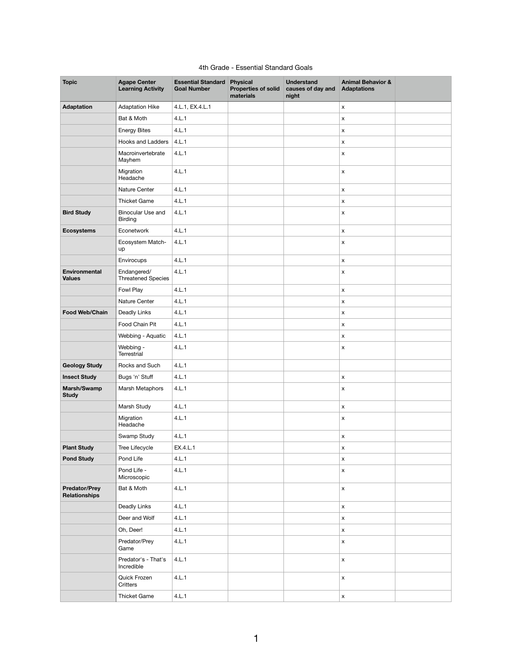## 4th Grade - Essential Standard Goals

| <b>Topic</b>                                 | <b>Agape Center</b><br><b>Learning Activity</b> | <b>Essential Standard</b><br><b>Goal Number</b> | <b>Physical</b><br><b>Properties of solid</b><br>materials | <b>Understand</b><br>causes of day and<br>night | <b>Animal Behavior &amp;</b><br><b>Adaptations</b> |  |
|----------------------------------------------|-------------------------------------------------|-------------------------------------------------|------------------------------------------------------------|-------------------------------------------------|----------------------------------------------------|--|
| <b>Adaptation</b>                            | <b>Adaptation Hike</b>                          | 4.L.1, EX.4.L.1                                 |                                                            |                                                 | $\mathsf X$                                        |  |
|                                              | Bat & Moth                                      | 4.L.1                                           |                                                            |                                                 | X                                                  |  |
|                                              | <b>Energy Bites</b>                             | 4.L.1                                           |                                                            |                                                 | $\pmb{\mathsf{X}}$                                 |  |
|                                              | <b>Hooks and Ladders</b>                        | 4.L.1                                           |                                                            |                                                 | X                                                  |  |
|                                              | Macroinvertebrate<br>Mayhem                     | 4.L.1                                           |                                                            |                                                 | X                                                  |  |
|                                              | Migration<br>Headache                           | 4.L.1                                           |                                                            |                                                 | $\pmb{\mathsf{x}}$                                 |  |
|                                              | Nature Center                                   | 4.L.1                                           |                                                            |                                                 | X                                                  |  |
|                                              | <b>Thicket Game</b>                             | 4.L.1                                           |                                                            |                                                 | X                                                  |  |
| <b>Bird Study</b>                            | <b>Binocular Use and</b><br><b>Birding</b>      | 4.L.1                                           |                                                            |                                                 | $\pmb{\times}$                                     |  |
| <b>Ecosystems</b>                            | Econetwork                                      | 4.L.1                                           |                                                            |                                                 | $\mathsf X$                                        |  |
|                                              | Ecosystem Match-<br>up                          | 4.L.1                                           |                                                            |                                                 | X                                                  |  |
|                                              | Envirocups                                      | 4.L.1                                           |                                                            |                                                 | $\pmb{\mathsf{X}}$                                 |  |
| <b>Environmental</b><br><b>Values</b>        | Endangered/<br><b>Threatened Species</b>        | 4.L.1                                           |                                                            |                                                 | X                                                  |  |
|                                              | Fowl Play                                       | 4.L.1                                           |                                                            |                                                 | X                                                  |  |
|                                              | Nature Center                                   | 4.L.1                                           |                                                            |                                                 | $\pmb{\mathsf{X}}$                                 |  |
| <b>Food Web/Chain</b>                        | Deadly Links                                    | 4.L.1                                           |                                                            |                                                 | $\mathsf X$                                        |  |
|                                              | Food Chain Pit                                  | 4.L.1                                           |                                                            |                                                 | X                                                  |  |
|                                              | Webbing - Aquatic                               | 4.L.1                                           |                                                            |                                                 | X                                                  |  |
|                                              | Webbing -<br>Terrestrial                        | 4.L.1                                           |                                                            |                                                 | X                                                  |  |
| <b>Geology Study</b>                         | Rocks and Such                                  | 4.L.1                                           |                                                            |                                                 |                                                    |  |
| <b>Insect Study</b>                          | Bugs 'n' Stuff                                  | 4.L.1                                           |                                                            |                                                 | $\mathsf X$                                        |  |
| Marsh/Swamp<br><b>Study</b>                  | Marsh Metaphors                                 | 4.L.1                                           |                                                            |                                                 | X                                                  |  |
|                                              | Marsh Study                                     | 4.L.1                                           |                                                            |                                                 | $\mathsf X$                                        |  |
|                                              | Migration<br>Headache                           | 4.L.1                                           |                                                            |                                                 | X                                                  |  |
|                                              | Swamp Study                                     | 4.L.1                                           |                                                            |                                                 | $\mathsf X$                                        |  |
| <b>Plant Study</b>                           | Tree Lifecycle                                  | EX.4.L.1                                        |                                                            |                                                 | $\mathsf{x}$                                       |  |
| <b>Pond Study</b>                            | Pond Life                                       | 4.L.1                                           |                                                            |                                                 | $\mathsf X$                                        |  |
|                                              | Pond Life -<br>Microscopic                      | 4.L.1                                           |                                                            |                                                 | X                                                  |  |
| <b>Predator/Prey</b><br><b>Relationships</b> | Bat & Moth                                      | 4.L.1                                           |                                                            |                                                 | $\mathsf X$                                        |  |
|                                              | Deadly Links                                    | 4.L.1                                           |                                                            |                                                 | $\mathsf X$                                        |  |
|                                              | Deer and Wolf                                   | 4.L.1                                           |                                                            |                                                 | X                                                  |  |
|                                              | Oh, Deer!                                       | 4.L.1                                           |                                                            |                                                 | $\mathsf X$                                        |  |
|                                              | Predator/Prey<br>Game                           | 4.L.1                                           |                                                            |                                                 | X                                                  |  |
|                                              | Predator's - That's<br>Incredible               | 4.L.1                                           |                                                            |                                                 | X                                                  |  |
|                                              | Quick Frozen<br><b>Critters</b>                 | 4.L.1                                           |                                                            |                                                 | X                                                  |  |
|                                              | <b>Thicket Game</b>                             | 4.L.1                                           |                                                            |                                                 | $\boldsymbol{\mathsf{X}}$                          |  |

1